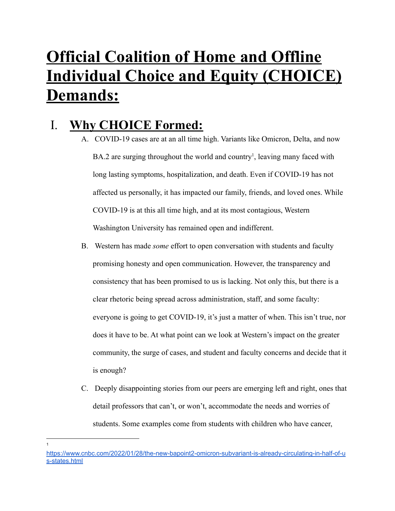# **Official Coalition of Home and Offline Individual Choice and Equity (CHOICE) Demands:**

## I. **Why CHOICE Formed:**

- A. COVID-19 cases are at an all time high. Variants like Omicron, Delta, and now BA.2 are surging throughout the world and country<sup>1</sup>, leaving many faced with long lasting symptoms, hospitalization, and death. Even if COVID-19 has not affected us personally, it has impacted our family, friends, and loved ones. While COVID-19 is at this all time high, and at its most contagious, Western Washington University has remained open and indifferent.
- B. Western has made *some* effort to open conversation with students and faculty promising honesty and open communication. However, the transparency and consistency that has been promised to us is lacking. Not only this, but there is a clear rhetoric being spread across administration, staff, and some faculty: everyone is going to get COVID-19, it's just a matter of when. This isn't true, nor does it have to be. At what point can we look at Western's impact on the greater community, the surge of cases, and student and faculty concerns and decide that it is enough?
- C. Deeply disappointing stories from our peers are emerging left and right, ones that detail professors that can't, or won't, accommodate the needs and worries of students. Some examples come from students with children who have cancer,

1

[https://www.cnbc.com/2022/01/28/the-new-bapoint2-omicron-subvariant-is-already-circulating-in-half-of-u](https://www.cnbc.com/2022/01/28/the-new-bapoint2-omicron-subvariant-is-already-circulating-in-half-of-us-states.html) [s-states.html](https://www.cnbc.com/2022/01/28/the-new-bapoint2-omicron-subvariant-is-already-circulating-in-half-of-us-states.html)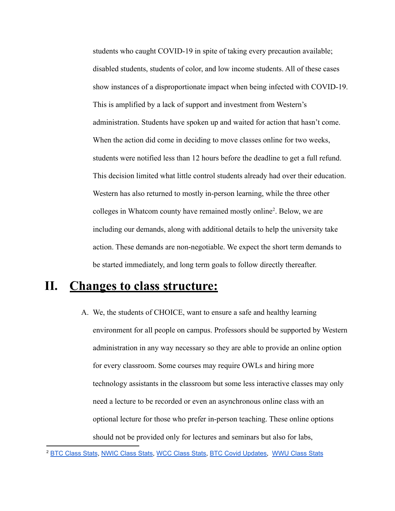students who caught COVID-19 in spite of taking every precaution available; disabled students, students of color, and low income students. All of these cases show instances of a disproportionate impact when being infected with COVID-19. This is amplified by a lack of support and investment from Western's administration. Students have spoken up and waited for action that hasn't come. When the action did come in deciding to move classes online for two weeks, students were notified less than 12 hours before the deadline to get a full refund. This decision limited what little control students already had over their education. Western has also returned to mostly in-person learning, while the three other colleges in Whatcom county have remained mostly online<sup>2</sup>. Below, we are including our demands, along with additional details to help the university take action. These demands are non-negotiable. We expect the short term demands to be started immediately, and long term goals to follow directly thereafter.

### **II. Changes to class structure:**

A. We, the students of CHOICE, want to ensure a safe and healthy learning environment for all people on campus. Professors should be supported by Western administration in any way necessary so they are able to provide an online option for every classroom. Some courses may require OWLs and hiring more technology assistants in the classroom but some less interactive classes may only need a lecture to be recorded or even an asynchronous online class with an optional lecture for those who prefer in-person teaching. These online options should not be provided only for lectures and seminars but also for labs,

<sup>&</sup>lt;sup>2</sup> BTC [Class](https://csprd.ctclink.us/psp/csprd/EMPLOYEE/PSFT_CS/s/WEBLIB_HCX_CM.H_CLASS_SEARCH.FieldFormula.IScript_Main?) Stats, [NWIC](https://www.nwic.edu/2022/01/19/nwic-moves-to-online-and-remote-work/) Class Stats, WCC Class Stats, BTC Covid [Updates,](https://www.btc.edu/AboutBTC/CovidUpdates.html#content-top3) [WWU](https://admin.wwu.edu/pls/wwis/wwsktime.SelClass) Class Stats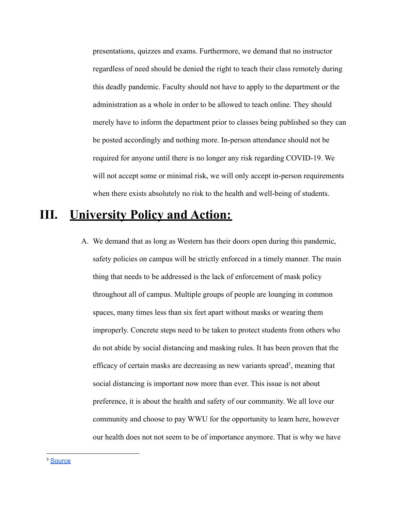presentations, quizzes and exams. Furthermore, we demand that no instructor regardless of need should be denied the right to teach their class remotely during this deadly pandemic. Faculty should not have to apply to the department or the administration as a whole in order to be allowed to teach online. They should merely have to inform the department prior to classes being published so they can be posted accordingly and nothing more. In-person attendance should not be required for anyone until there is no longer any risk regarding COVID-19. We will not accept some or minimal risk, we will only accept in-person requirements when there exists absolutely no risk to the health and well-being of students.

### **III. University Policy and Action:**

A. We demand that as long as Western has their doors open during this pandemic, safety policies on campus will be strictly enforced in a timely manner. The main thing that needs to be addressed is the lack of enforcement of mask policy throughout all of campus. Multiple groups of people are lounging in common spaces, many times less than six feet apart without masks or wearing them improperly. Concrete steps need to be taken to protect students from others who do not abide by social distancing and masking rules. It has been proven that the efficacy of certain masks are decreasing as new variants spread<sup>3</sup>, meaning that social distancing is important now more than ever. This issue is not about preference, it is about the health and safety of our community. We all love our community and choose to pay WWU for the opportunity to learn here, however our health does not not seem to be of importance anymore. That is why we have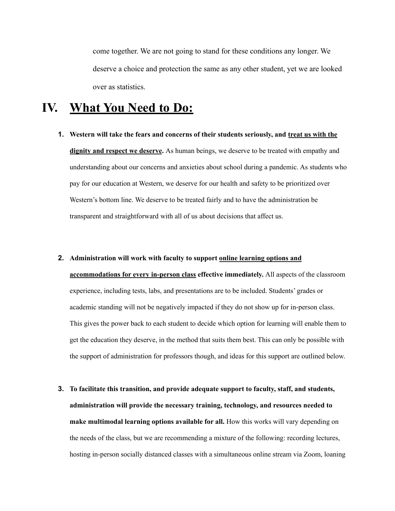come together. We are not going to stand for these conditions any longer. We deserve a choice and protection the same as any other student, yet we are looked over as statistics.

### **IV. What You Need to Do:**

**1. Western will take the fears and concerns of their students seriously, and treat us with the**

**dignity and respect we deserve.** As human beings, we deserve to be treated with empathy and understanding about our concerns and anxieties about school during a pandemic. As students who pay for our education at Western, we deserve for our health and safety to be prioritized over Western's bottom line. We deserve to be treated fairly and to have the administration be transparent and straightforward with all of us about decisions that affect us.

#### **2. Administration will work with faculty to support online learning options and**

**accommodations for every in-person class effective immediately.** All aspects of the classroom experience, including tests, labs, and presentations are to be included. Students' grades or academic standing will not be negatively impacted if they do not show up for in-person class. This gives the power back to each student to decide which option for learning will enable them to get the education they deserve, in the method that suits them best. This can only be possible with the support of administration for professors though, and ideas for this support are outlined below.

**3. To facilitate this transition, and provide adequate support to faculty, staff, and students, administration will provide the necessary training, technology, and resources needed to make multimodal learning options available for all.** How this works will vary depending on the needs of the class, but we are recommending a mixture of the following: recording lectures, hosting in-person socially distanced classes with a simultaneous online stream via Zoom, loaning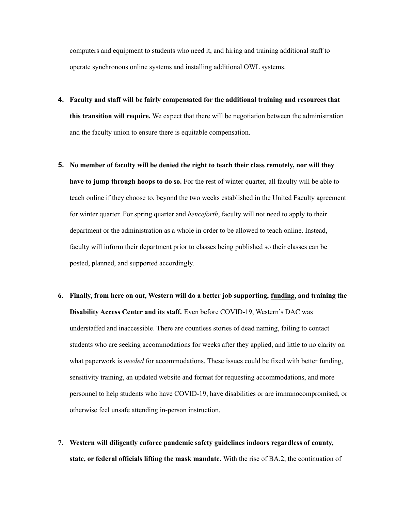computers and equipment to students who need it, and hiring and training additional staff to operate synchronous online systems and installing additional OWL systems.

- **4. Faculty and staff will be fairly compensated for the additional training and resources that this transition will require.** We expect that there will be negotiation between the administration and the faculty union to ensure there is equitable compensation.
- **5. No member of faculty will be denied the right to teach their class remotely, nor will they have to jump through hoops to do so.** For the rest of winter quarter, all faculty will be able to teach online if they choose to, beyond the two weeks established in the United Faculty agreement for winter quarter. For spring quarter and *henceforth*, faculty will not need to apply to their department or the administration as a whole in order to be allowed to teach online. Instead, faculty will inform their department prior to classes being published so their classes can be posted, planned, and supported accordingly.
- **6. Finally, from here on out, Western will do a better job supporting, funding, and training the Disability Access Center and its staff.** Even before COVID-19, Western's DAC was understaffed and inaccessible. There are countless stories of dead naming, failing to contact students who are seeking accommodations for weeks after they applied, and little to no clarity on what paperwork is *needed* for accommodations. These issues could be fixed with better funding, sensitivity training, an updated website and format for requesting accommodations, and more personnel to help students who have COVID-19, have disabilities or are immunocompromised, or otherwise feel unsafe attending in-person instruction.
- **7. Western will diligently enforce pandemic safety guidelines indoors regardless of county, state, or federal officials lifting the mask mandate.** With the rise of BA.2, the continuation of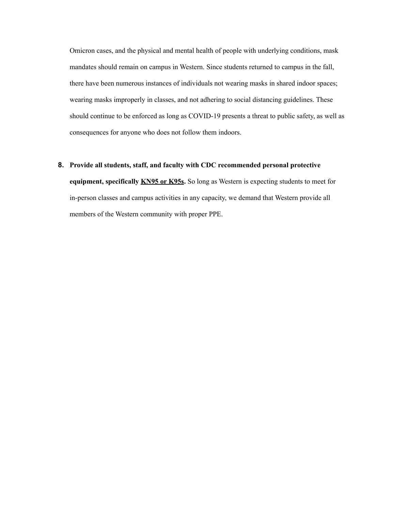Omicron cases, and the physical and mental health of people with underlying conditions, mask mandates should remain on campus in Western. Since students returned to campus in the fall, there have been numerous instances of individuals not wearing masks in shared indoor spaces; wearing masks improperly in classes, and not adhering to social distancing guidelines. These should continue to be enforced as long as COVID-19 presents a threat to public safety, as well as consequences for anyone who does not follow them indoors.

**8. Provide all students, staff, and faculty with CDC recommended personal protective**

**equipment, specifically KN95 or K95s.** So long as Western is expecting students to meet for in-person classes and campus activities in any capacity, we demand that Western provide all members of the Western community with proper PPE.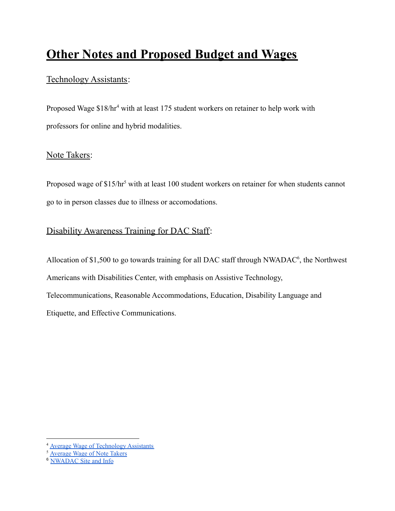# **Other Notes and Proposed Budget and Wages**

#### Technology Assistants:

Proposed Wage  $$18/hr<sup>4</sup>$  with at least 175 student workers on retainer to help work with professors for online and hybrid modalities.

#### Note Takers:

Proposed wage of \$15/hr<sup>5</sup> with at least 100 student workers on retainer for when students cannot go to in person classes due to illness or accomodations.

#### Disability Awareness Training for DAC Staff:

Allocation of \$1,500 to go towards training for all DAC staff through NWADAC $<sup>6</sup>$ , the Northwest</sup> Americans with Disabilities Center, with emphasis on Assistive Technology, Telecommunications, Reasonable Accommodations, Education, Disability Language and Etiquette, and Effective Communications.

<sup>&</sup>lt;sup>4</sup> Average Wage of [Technology](https://www.zippia.com/information-technology-assistant-jobs/salary/) Assistants

<sup>&</sup>lt;sup>5</sup> [Average](https://www.zippia.com/note-taker-jobs/) Wage of Note Takers

<sup>&</sup>lt;sup>6</sup> [NWADAC](https://nwadacenter.org/training-and-event-request-form) Site and Info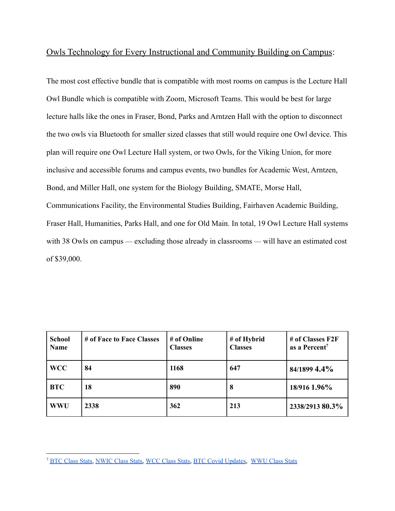#### Owls Technology for Every Instructional and Community Building on Campus:

The most cost effective bundle that is compatible with most rooms on campus is the Lecture Hall Owl Bundle which is compatible with Zoom, Microsoft Teams. This would be best for large lecture halls like the ones in Fraser, Bond, Parks and Arntzen Hall with the option to disconnect the two owls via Bluetooth for smaller sized classes that still would require one Owl device. This plan will require one Owl Lecture Hall system, or two Owls, for the Viking Union, for more inclusive and accessible forums and campus events, two bundles for Academic West, Arntzen, Bond, and Miller Hall, one system for the Biology Building, SMATE, Morse Hall, Communications Facility, the Environmental Studies Building, Fairhaven Academic Building, Fraser Hall, Humanities, Parks Hall, and one for Old Main. In total, 19 Owl Lecture Hall systems with 38 Owls on campus — excluding those already in classrooms — will have an estimated cost of \$39,000.

| <b>School</b><br>Name | # of Face to Face Classes | # of Online<br><b>Classes</b> | # of Hybrid<br><b>Classes</b> | # of Classes F2F<br>as a Percent <sup>7</sup> |
|-----------------------|---------------------------|-------------------------------|-------------------------------|-----------------------------------------------|
| <b>WCC</b>            | 84                        | 1168                          | 647                           | 84/1899 4.4%                                  |
| <b>BTC</b>            | 18                        | 890                           | -8                            | 18/916 1.96%                                  |
| <b>WWU</b>            | 2338                      | 362                           | 213                           | 2338/2913 80.3%                               |

<sup>&</sup>lt;sup>7</sup> BTC [Class](https://www.btc.edu/Academics/TakeAClass.html) Stats, [NWIC](https://www.nwic.edu/2022/01/19/nwic-moves-to-online-and-remote-work/) Class Stats, [WCC](https://csprd.ctclink.us/psp/csprd/EMPLOYEE/PSFT_CS/s/WEBLIB_HCX_CM.H_CLASS_SEARCH.FieldFormula.IScript_Main?) Class Stats, BTC Covid [Updates](https://www.btc.edu/AboutBTC/CovidUpdates.html#content-top3), [WWU](https://admin.wwu.edu/pls/wwis/wwsktime.SelClass) Class Stats